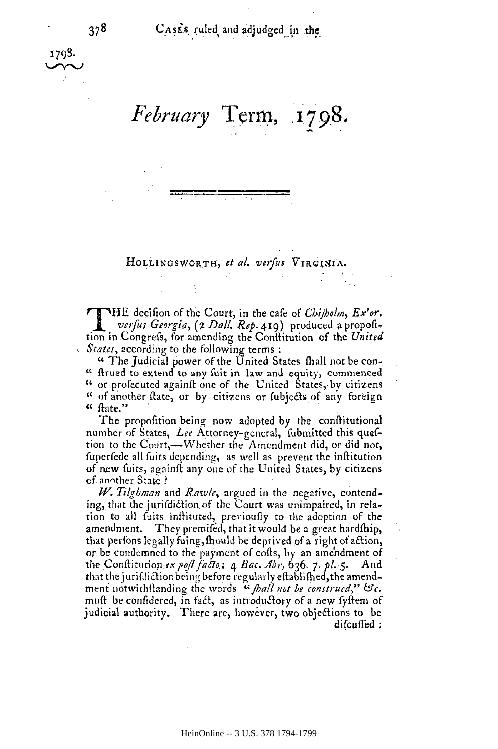CASES ruled and adjudged in the

## February Term, 1798.

HOLLINGSWORTH, et al. verfus VIRGINIA.

**TTHE** decision of the Court, in the cafe of *Chifbolm*,  $Ex^3$ or.  $\blacksquare$  verfus Georgia, (2 Dall. Rep. 419) produced a propofition in Congrefs, for amending the Conflitution of the United States, according to the following terms:

" The Judicial power of the United States fhall not be con-" firued to extend to any fuit in law and equity, commenced " or profecuted againft one of the United States, by citizens " of another flate, or by citizens or fubjects of any foreign  $``$  ftate."

The propofition being now adopted by the conflitutional number of States, Lee Attorney-general, fubmitted this queftion to the Court,—Whether the Amendment did, or did not, fuperfede all fuits depending, as well as prevent the inftitution of new fuits, againft any one of the United States, by citizens of another State?

W. Tilghman and Rawle, argued in the negative, contending, that the jurifdiction of the Court was unimpaired, in relation to all fuits inflituted, previoufly to the adoption of the amendment. They premifed, that it would be a great hardfhip, that perfons legally fuing, fhould be deprived of a right of action, or be condemned to the payment of cofts, by an amendment of the Conflitution ex poft facto;  $\alpha$  Bac. Abr, 636. 7. pl. 5. And that the jurifdiction being before regularly eftablifhed, the amendment notwithftanding the words " fhall not be construed," &c. muft be confidered, in fact, as introductory of a new fyftem of judicial authority. There are, however, two objections to be difcuffed: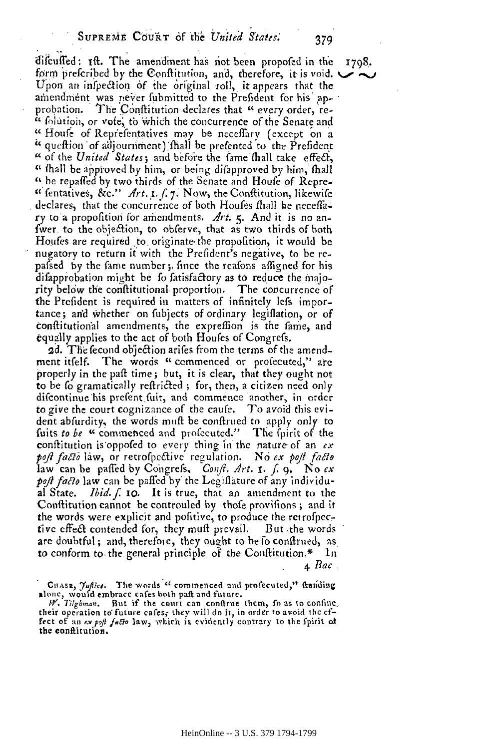difcuffed: 1ft. The amendment has not been propofed in the form preferibed by the Conflitution, and, therefore, it is void.  $\bigcup$ Upon an infpection of the original roll, it appears that the amendment was never fubmitted to the Prefident for his approbation. The Conflitution declares that " every order, re-" folution, or vote, to which the concurrence of the Senate and "Houfe of Reprefentatives may be neceffary (except on a " queftion of adjournment) fhall be prefented to the Prefident " of the United States; and before the fame fhall take effect, " thall be approved by him, or being difapproved by him, fhall " be repaffed by two thirds of the Senate and Houfe of Repre-" fentatives, &c."  $Art.$  1. f. 7. Now, the Conflitution, likewife declares, that the concurrence of both Houfes fhall be neceffary to a propofition for amendments.  $Art.$  5. And it is no anfwer to the objection, to obferve, that as two thirds of both Houfes are required to originate the propofition, it would be nugatory to return it with the Prefident's negative, to be repafsed by the fame number; fince the reafons affigned for his difapprebation might be fo fatisfactory as to reduce the majority below the conflitutional proportion. The concurrence of the Prefident is required in matters of infinitely lefs importance; and whether on fubjects of ordinary legiflation, or of conflitutional amendments, the expreffion is the fame, and equally applies to the act of both Houles of Congress.

2d. The fecond objection arifes from the terms of the amendment itself. The words "commenced or profecuted," are properly in the paft time; but, it is clear, that they ought not to be to gramatically reftricted; for, then, a citizen need only difcontinue his prefent fuit, and commence another, in order to give the court cognizance of the caufe. To avoid this evident abfurdity, the words muft be conftrued to apply only to fuits to be "commenced and profecuted." The fuirit of the conflitution is oppofed to every thing in the nature of an  $ex$ poft facto law, or retrofpective regulation. No ex poft facto law can be paffed by Congrefs,  $\text{Conf.}$  Art. 1. f. 9. No ex poft facto law can be paffed by the Legiflature of any individual State. *Ibid.*  $\int$ . 10. It is true, that an amendment to the Conflitution cannot be controuled by thole provisions; and it the words were explicit and politive, to produce the retrofpective effect contended for, they muft prevail. But the words are doubtful; and, therefore, they ought to be fo confirued, as to conform to the general principle of the Conflitution.\* In <u>а</u> Вас .

1798.

379

CHASE, Juffics. The words " commenced and profecuted," ftanding

alone, would embrace cafes both paft and future.<br>
W. Tilghman. But if the court can confirme them, fo as to confine their operation to future cafes, they will do it, in order to avoid the effect of an ex poft facto law, which is evidently contrary to the fpirit of the conftitution.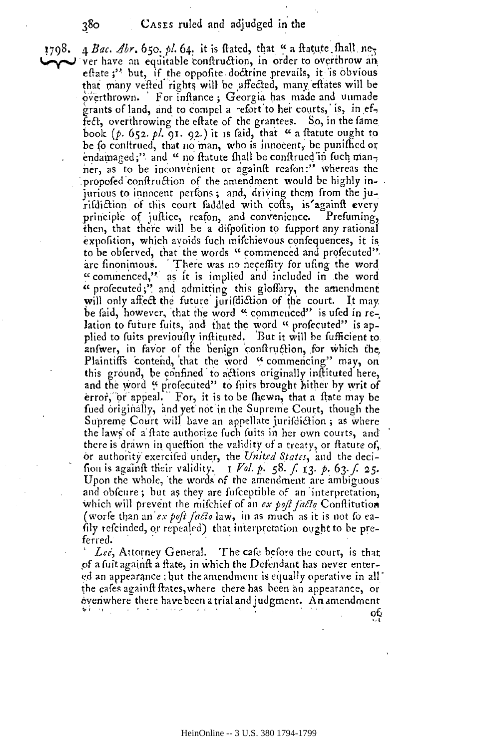**1798.**  $\uparrow$  *A Bac. Abr.* 650. *pl.* 64. it is flated, that " a fratute fhall ne-<br> $\downarrow$  ver have an equitable confiruction, in order to overtibour and ver have an equitable conftruction, in order to overthrow an eftate ;" but, if the oppofite doctrine prevails, it is obvious that many vefted rights will be affected, many eftates will be overthrown. 'For inftance; Georgia has made and unmade grants of land, and to compel a refort to her courts, is, in effect, overthrowing the eftate of the grantees. So, in the fame book (p. 652. pl. 91. 92.) it is faid, that "a flatute ought to be fo conitrued, that no man, who is innocent, be punifhed or, endamaged;" and " no f<del>t</del>atute fhall be conftrued in fuch manner, as to be inconvenient or againft reafon:" whereas the propofed conftruction of the amendment would be highly injurious to innocent perfons; and, driving them from the jurifi&ion of this court faddled with **cofts,** is'agairift every rifdietion of this court faddled with cofis, is'againfl: every principle of juftice, reafon, and convenience. Prefuming, then, that there will be a difpolition to fupport any rational expofition, which avoids fuch mifchievous confequences, it is to be obferved, that the words " commenced and profecuted", are finonimous. There was no neceffity for ufing the word "commenced," as it is implied and included in the word " profecuted;" and admitting this gloffary, the amendment will only affect the future jurifdiction of the court. It may be faid, however, that the word " commenced" is ufed in relation to future fuits, and that the word " profecuted" is applied to fuits previou'fly inflituted. 'But it will be fufficient to plied to fuits previou'fly infl:ituted. But it will fufficient to anfwer, in favor of the benign conftruction, for which the, Plaintiffs contend, that the word "commencing" may, on this ground, be confined to actions originally inflituted here, and the word " profecuted" to fuits brought hither by writ of error, or appeal. For, it is to be thewn, that a flate may be fued originally, and yet not in the Supreme Court, though the Supreme Court will have an appellate jurifdiction; as where the laws of a ftate authorize fuch fuits in her own courts, and there is drawn in queftion the validity of a treaty, or flatute of, or authority exercifed under, the *United States*, and the decifrom is againft their validity.  $I$   $Vol. p. 58. f. 13. p. 63. f. 25.$ Upon the whole, the words of the amendment are ambiguous Upon the whole, 'the words of the amendment are ambiguous and obfcure; but as they are fufceptible of an interpretation, which will prevent the mifchief of an *ex poft facto* Conflitution (worfe than an'ex poft facto law, in as much as it is not fo eafily refcinded, or repealed) that interpretation ought to be preferred. (worfe than an *ex poft facta*<br>fily refcinded, or repealed)<br>ferred.

*Lee, Attorney General.* The cafe before the court, is that of a fuit againft a ftate, in which the Defendant has never entered an appearance : but the amendment is equally operative in all the cafes againft ftates, where there has been an appearance, or evenhwhere there have been a trial and judgment. **A** n amendment Let, Attorney General. The cafe before the court, is that<br>of a fuit againft a flate, in which the Defendant has never enter-<br>ed an appearance : but the amendment is equally operative in all-<br>the cafes againft flates, wher

 $\hat{\alpha}$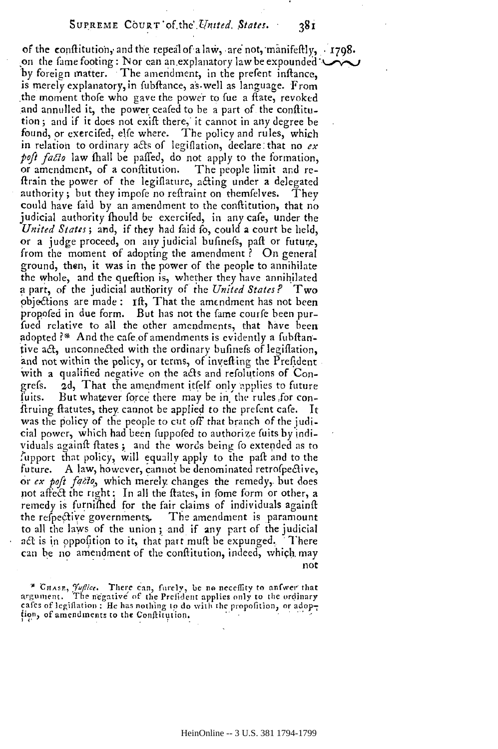of the conflitution, and the repeal of a law, are not, manifeftly,  $\cdot$  1798. on the fame footing : Nor can an explanatory law be expounded " by foreign matter. The amendment, in the prefent inflance. is merely explanatory, in fubftance, as well as language. From the moment thofe who gave the power to fue a flate, revoked and annulled it, the power ceafed to be a part of the conflitution; and if it does not exift there, it cannot in any degree be found, or exercifed, elfe where. The policy and rules, which in relation to ordinary acts of legiflation, declare that no  $ex$ poft facto law fhall be paffed, do not apply to the formation, or amendment, of a conflitution. The people limit and reftrain the power of the legiflature, acting under a delegated authority; but they impofe no reftraint on themselves.  $The v$ could have faid by an amendment to the conflitution, that no judicial authority fhould be exercifed, in any cafe, under the United States; and, if they had faid fo, could a court be held, or a judge proceed, on any judicial bufinefs, paft or future, from the moment of adopting the amendment? On general ground, then, it was in the power of the people to annihilate the whole, and the queftion is, whether they have annihilated a part, of the judicial authority of the United States? Two objections are made: Ift, That the amendment has not been propofed in due form. But has not the fame courfe been purfued relative to all the other amendments, that have been adopted?\* And the cafe of amendments is evidently a fubftantive act, unconnected with the ordinary bufinefs of legiflation, and not within the policy, or terms, of invefting the Prefident with a qualified negative on the acts and refolutions of Congrefs. 2d, That the amendment itfelf only applies to future But whatever force there may be in the rules for confuits. firuing flatutes, they cannot be applied to the prefent cafe. - It was the policy of the people to cut off that branch of the judicial power, which had been fuppofed to authorize fuits by individuals againft flates; and the words being fo extended as to fupport that policy, will equally apply to the paft and to the A law, however, cannot be denominated retrofpective, future. or ex poft facto, which merely changes the remedy, but does not affect the right: In all the ftates, in fome form or other, a

remedy is furnifhed for the fair claims of individuals againft the respective governments. The amendment is paramount to all the laws of the union; and if any part of the judicial act is in opposition to it, that part muft be expunged. There can be no amendment of the conflitution, indeed, which may not

\* CHASE, Tuffice. There can, furely, be no necessity to answer that argument. The negative of the Prefident applies only to the ordinary cafes of legiflation: He has nothing to do with the propofition, or adoption, of amendments to the Conflitution.